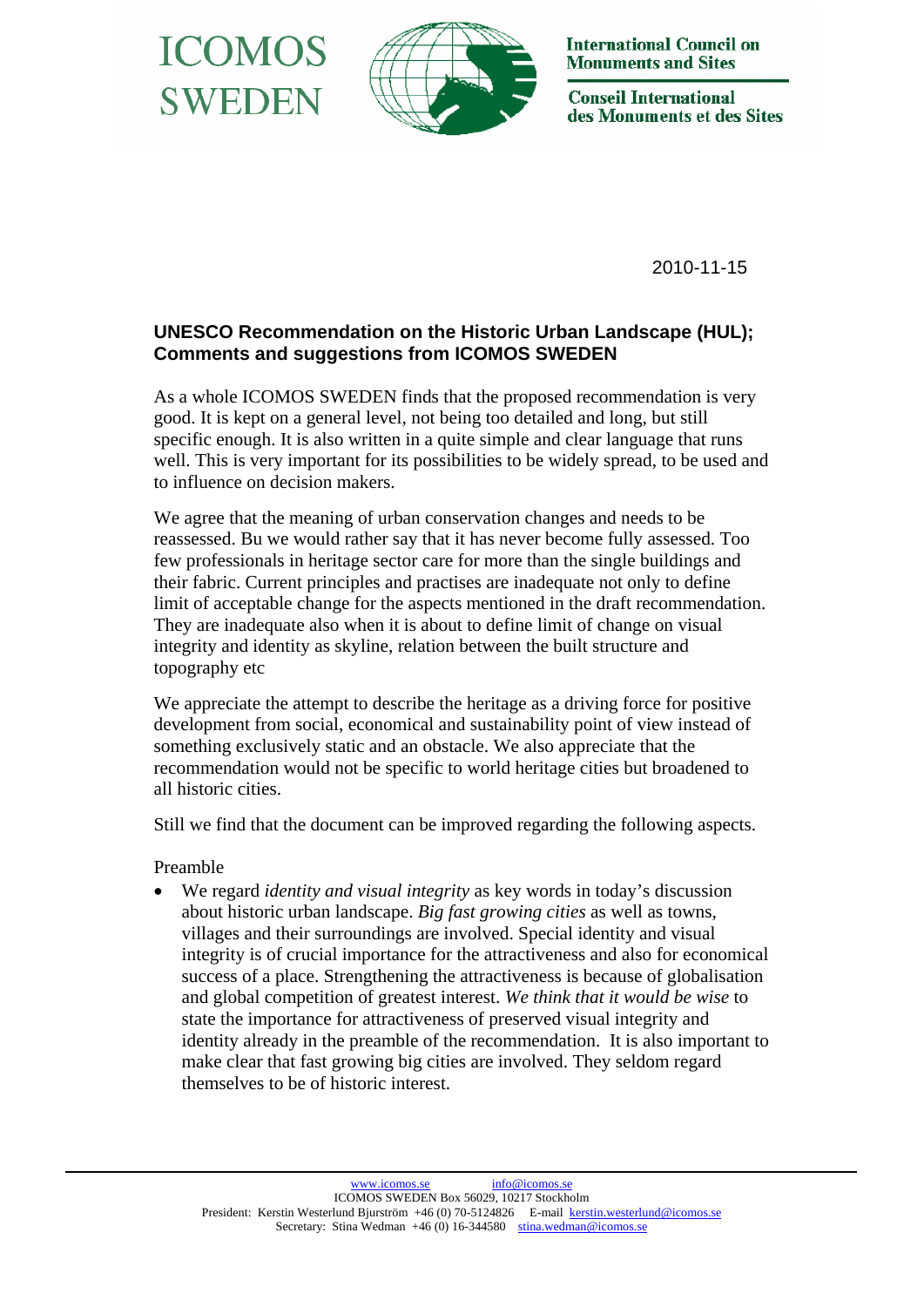



**International Council on Monuments and Sites** 

**Conseil International** des Monuments et des Sites

2010-11-15

## **UNESCO Recommendation on the Historic Urban Landscape (HUL); Comments and suggestions from ICOMOS SWEDEN**

As a whole ICOMOS SWEDEN finds that the proposed recommendation is very good. It is kept on a general level, not being too detailed and long, but still specific enough. It is also written in a quite simple and clear language that runs well. This is very important for its possibilities to be widely spread, to be used and to influence on decision makers.

We agree that the meaning of urban conservation changes and needs to be reassessed. Bu we would rather say that it has never become fully assessed. Too few professionals in heritage sector care for more than the single buildings and their fabric. Current principles and practises are inadequate not only to define limit of acceptable change for the aspects mentioned in the draft recommendation. They are inadequate also when it is about to define limit of change on visual integrity and identity as skyline, relation between the built structure and topography etc

We appreciate the attempt to describe the heritage as a driving force for positive development from social, economical and sustainability point of view instead of something exclusively static and an obstacle. We also appreciate that the recommendation would not be specific to world heritage cities but broadened to all historic cities.

Still we find that the document can be improved regarding the following aspects.

Preamble

• We regard *identity and visual integrity* as key words in today's discussion about historic urban landscape. *Big fast growing cities* as well as towns, villages and their surroundings are involved. Special identity and visual integrity is of crucial importance for the attractiveness and also for economical success of a place. Strengthening the attractiveness is because of globalisation and global competition of greatest interest. *We think that it would be wise* to state the importance for attractiveness of preserved visual integrity and identity already in the preamble of the recommendation. It is also important to make clear that fast growing big cities are involved. They seldom regard themselves to be of historic interest.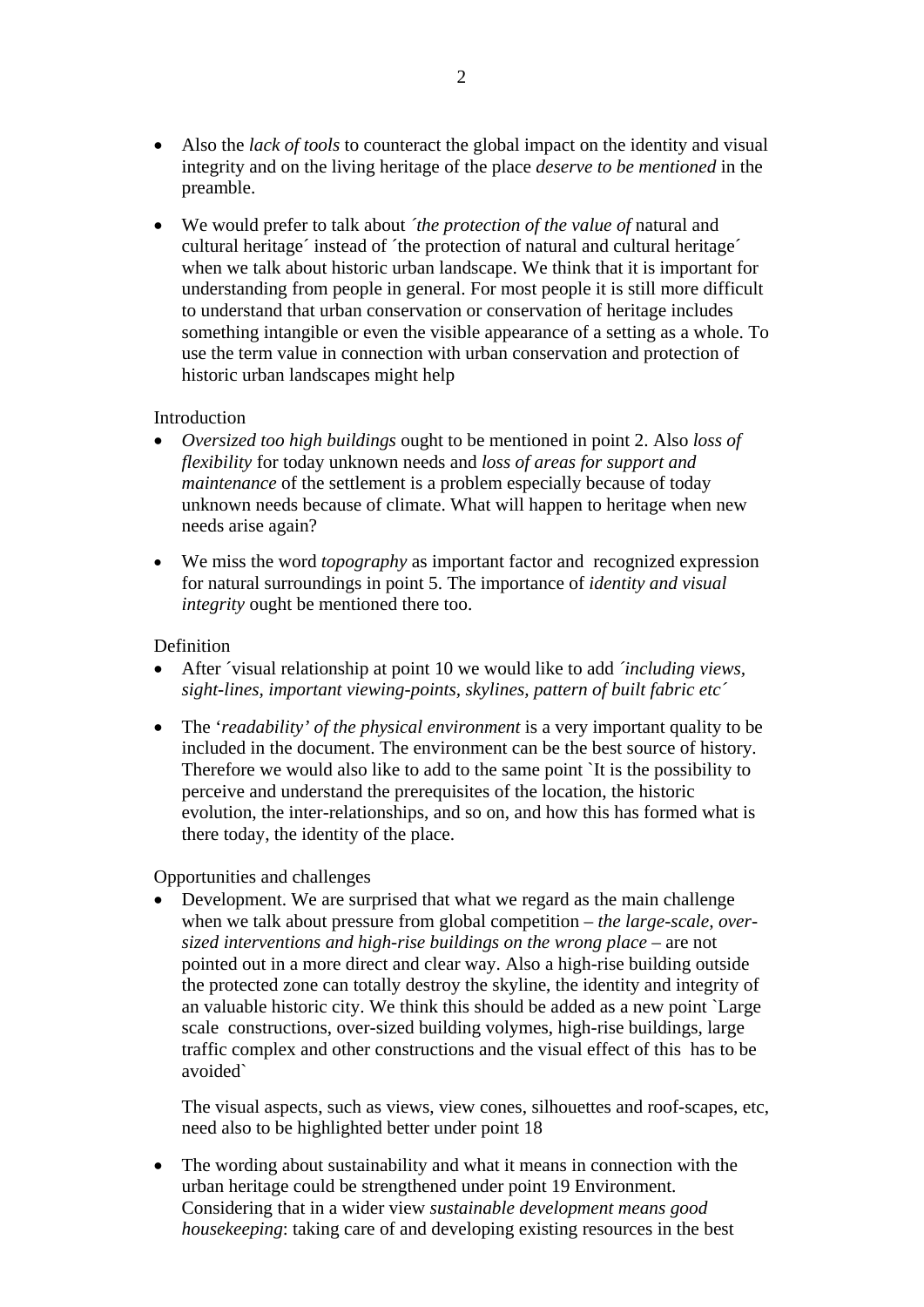- Also the *lack of tools* to counteract the global impact on the identity and visual integrity and on the living heritage of the place *deserve to be mentioned* in the preamble.
- We would prefer to talk about *´the protection of the value of* natural and cultural heritage´ instead of ´the protection of natural and cultural heritage´ when we talk about historic urban landscape. We think that it is important for understanding from people in general. For most people it is still more difficult to understand that urban conservation or conservation of heritage includes something intangible or even the visible appearance of a setting as a whole. To use the term value in connection with urban conservation and protection of historic urban landscapes might help

## Introduction

- *Oversized too high buildings* ought to be mentioned in point 2. Also *loss of flexibility* for today unknown needs and *loss of areas for support and maintenance* of the settlement is a problem especially because of today unknown needs because of climate. What will happen to heritage when new needs arise again?
- We miss the word *topography* as important factor and recognized expression for natural surroundings in point 5. The importance of *identity and visual integrity* ought be mentioned there too.

## Definition

- After ´visual relationship at point 10 we would like to add *´including views, sight-lines, important viewing-points, skylines, pattern of built fabric etc´*
- The '*readability' of the physical environment* is a very important quality to be included in the document. The environment can be the best source of history. Therefore we would also like to add to the same point `It is the possibility to perceive and understand the prerequisites of the location, the historic evolution, the inter-relationships, and so on, and how this has formed what is there today, the identity of the place.

Opportunities and challenges

• Development. We are surprised that what we regard as the main challenge when we talk about pressure from global competition – *the large-scale, oversized interventions and high-rise buildings on the wrong place* – are not pointed out in a more direct and clear way. Also a high-rise building outside the protected zone can totally destroy the skyline, the identity and integrity of an valuable historic city. We think this should be added as a new point `Large scale constructions, over-sized building volymes, high-rise buildings, large traffic complex and other constructions and the visual effect of this has to be avoided`

The visual aspects, such as views, view cones, silhouettes and roof-scapes, etc, need also to be highlighted better under point 18

• The wording about sustainability and what it means in connection with the urban heritage could be strengthened under point 19 Environment. Considering that in a wider view *sustainable development means good housekeeping*: taking care of and developing existing resources in the best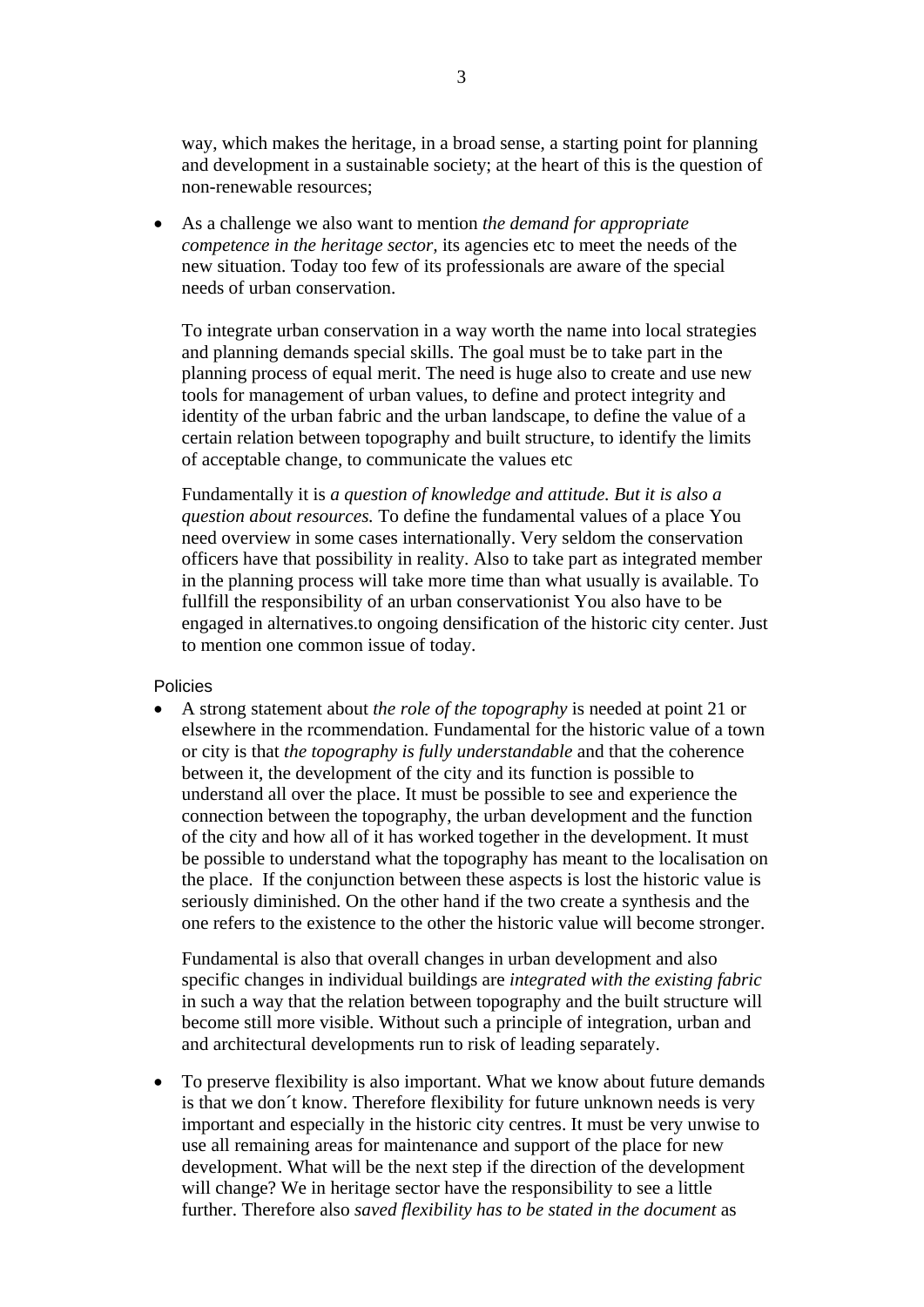way, which makes the heritage, in a broad sense, a starting point for planning and development in a sustainable society; at the heart of this is the question of non-renewable resources;

• As a challenge we also want to mention *the demand for appropriate competence in the heritage sector,* its agencies etc to meet the needs of the new situation. Today too few of its professionals are aware of the special needs of urban conservation.

To integrate urban conservation in a way worth the name into local strategies and planning demands special skills. The goal must be to take part in the planning process of equal merit. The need is huge also to create and use new tools for management of urban values, to define and protect integrity and identity of the urban fabric and the urban landscape, to define the value of a certain relation between topography and built structure, to identify the limits of acceptable change, to communicate the values etc

Fundamentally it is *a question of knowledge and attitude. But it is also a question about resources.* To define the fundamental values of a place You need overview in some cases internationally. Very seldom the conservation officers have that possibility in reality. Also to take part as integrated member in the planning process will take more time than what usually is available. To fullfill the responsibility of an urban conservationist You also have to be engaged in alternatives.to ongoing densification of the historic city center. Just to mention one common issue of today.

Policies

• A strong statement about *the role of the topography* is needed at point 21 or elsewhere in the rcommendation. Fundamental for the historic value of a town or city is that *the topography is fully understandable* and that the coherence between it, the development of the city and its function is possible to understand all over the place. It must be possible to see and experience the connection between the topography, the urban development and the function of the city and how all of it has worked together in the development. It must be possible to understand what the topography has meant to the localisation on the place. If the conjunction between these aspects is lost the historic value is seriously diminished. On the other hand if the two create a synthesis and the one refers to the existence to the other the historic value will become stronger.

Fundamental is also that overall changes in urban development and also specific changes in individual buildings are *integrated with the existing fabric* in such a way that the relation between topography and the built structure will become still more visible. Without such a principle of integration, urban and and architectural developments run to risk of leading separately.

• To preserve flexibility is also important. What we know about future demands is that we don´t know. Therefore flexibility for future unknown needs is very important and especially in the historic city centres. It must be very unwise to use all remaining areas for maintenance and support of the place for new development. What will be the next step if the direction of the development will change? We in heritage sector have the responsibility to see a little further. Therefore also *saved flexibility has to be stated in the document* as